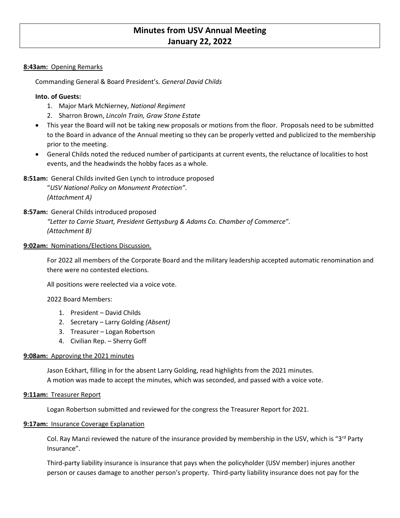# **Minutes from USV Annual Meeting January 22, 2022**

#### **8:43am:** Opening Remarks

Commanding General & Board President's. *General David Childs*

#### **Into. of Guests:**

- 1. Major Mark McNierney, *National Regiment*
- 2. Sharron Brown, *Lincoln Train, Graw Stone Estate*
- This year the Board will not be taking new proposals or motions from the floor. Proposals need to be submitted to the Board in advance of the Annual meeting so they can be properly vetted and publicized to the membership prior to the meeting.
- General Childs noted the reduced number of participants at current events, the reluctance of localities to host events, and the headwinds the hobby faces as a whole.

## **8:51am:** General Childs invited Gen Lynch to introduce proposed

"*USV National Policy on Monument Protection"*. *(Attachment A)*

## **8:57am:** General Childs introduced proposed

*"Letter to Carrie Stuart, President Gettysburg & Adams Co. Chamber of Commerce". (Attachment B)*

#### **9:02am:** Nominations/Elections Discussion.

For 2022 all members of the Corporate Board and the military leadership accepted automatic renomination and there were no contested elections.

All positions were reelected via a voice vote.

## 2022 Board Members:

- 1. President David Childs
- 2. Secretary Larry Golding *(Absent)*
- 3. Treasurer Logan Robertson
- 4. Civilian Rep. Sherry Goff

## **9:08am:** Approving the 2021 minutes

Jason Eckhart, filling in for the absent Larry Golding, read highlights from the 2021 minutes. A motion was made to accept the minutes, which was seconded, and passed with a voice vote.

#### **9:11am:** Treasurer Report

Logan Robertson submitted and reviewed for the congress the Treasurer Report for 2021.

#### **9:17am:** Insurance Coverage Explanation

Col. Ray Manzi reviewed the nature of the insurance provided by membership in the USV, which is "3<sup>rd</sup> Party Insurance".

Third-party liability insurance is insurance that pays when the policyholder (USV member) injures another person or causes damage to another person's property. Third-party liability insurance does not pay for the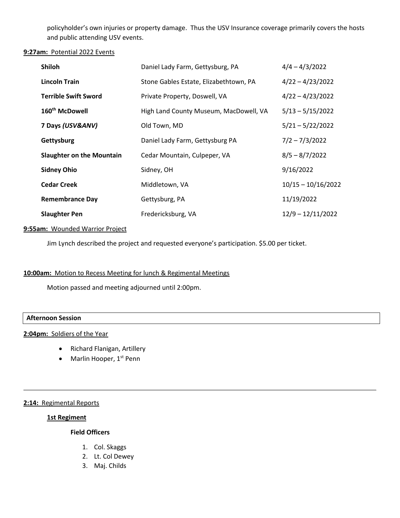policyholder's own injuries or property damage. Thus the USV Insurance coverage primarily covers the hosts and public attending USV events.

#### **9:27am:** Potential 2022 Events

| <b>Shiloh</b>                    | Daniel Lady Farm, Gettysburg, PA       | $4/4 - 4/3/2022$     |
|----------------------------------|----------------------------------------|----------------------|
| <b>Lincoln Train</b>             | Stone Gables Estate, Elizabethtown, PA | $4/22 - 4/23/2022$   |
| <b>Terrible Swift Sword</b>      | Private Property, Doswell, VA          | $4/22 - 4/23/2022$   |
| 160 <sup>th</sup> McDowell       | High Land County Museum, MacDowell, VA | $5/13 - 5/15/2022$   |
| 7 Days (USV&ANV)                 | Old Town, MD                           | $5/21 - 5/22/2022$   |
| Gettysburg                       | Daniel Lady Farm, Gettysburg PA        | $7/2 - 7/3/2022$     |
| <b>Slaughter on the Mountain</b> | Cedar Mountain, Culpeper, VA           | $8/5 - 8/7/2022$     |
| <b>Sidney Ohio</b>               | Sidney, OH                             | 9/16/2022            |
| <b>Cedar Creek</b>               | Middletown, VA                         | $10/15 - 10/16/2022$ |
| <b>Remembrance Day</b>           | Gettysburg, PA                         | 11/19/2022           |
| <b>Slaughter Pen</b>             | Fredericksburg, VA                     | $12/9 - 12/11/2022$  |

#### **9:55am:** Wounded Warrior Project

Jim Lynch described the project and requested everyone's participation. \$5.00 per ticket.

## **10:00am:** Motion to Recess Meeting for lunch & Regimental Meetings

Motion passed and meeting adjourned until 2:00pm.

#### **Afternoon Session**

#### **2:04pm:** Soldiers of the Year

- Richard Flanigan, Artillery
- Marlin Hooper,  $1<sup>st</sup>$  Penn

## **2:14:** Regimental Reports

#### **1st Regiment**

# **Field Officers**

- 1. Col. Skaggs
- 2. Lt. Col Dewey
- 3. Maj. Childs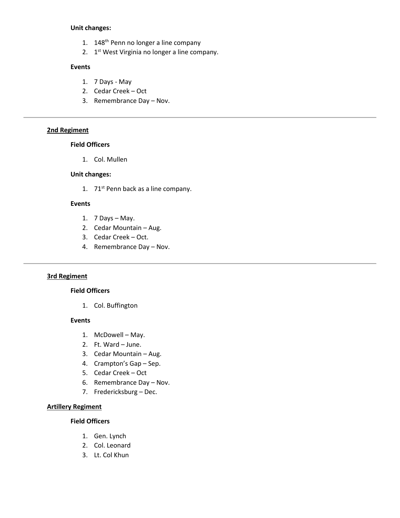#### **Unit changes:**

- 1. 148<sup>th</sup> Penn no longer a line company
- 2. 1<sup>st</sup> West Virginia no longer a line company.

#### **Events**

- 1. 7 Days May
- 2. Cedar Creek Oct
- 3. Remembrance Day Nov.

# **2nd Regiment**

# **Field Officers**

1. Col. Mullen

#### **Unit changes:**

1.  $71<sup>st</sup>$  Penn back as a line company.

#### **Events**

- 1. 7 Days May.
- 2. Cedar Mountain Aug.
- 3. Cedar Creek Oct.
- 4. Remembrance Day Nov.

## **3rd Regiment**

#### **Field Officers**

1. Col. Buffington

#### **Events**

- 1. McDowell May.
- 2. Ft. Ward June.
- 3. Cedar Mountain Aug.
- 4. Crampton's Gap Sep.
- 5. Cedar Creek Oct
- 6. Remembrance Day Nov.
- 7. Fredericksburg Dec.

# **Artillery Regiment**

#### **Field Officers**

- 1. Gen. Lynch
- 2. Col. Leonard
- 3. Lt. Col Khun